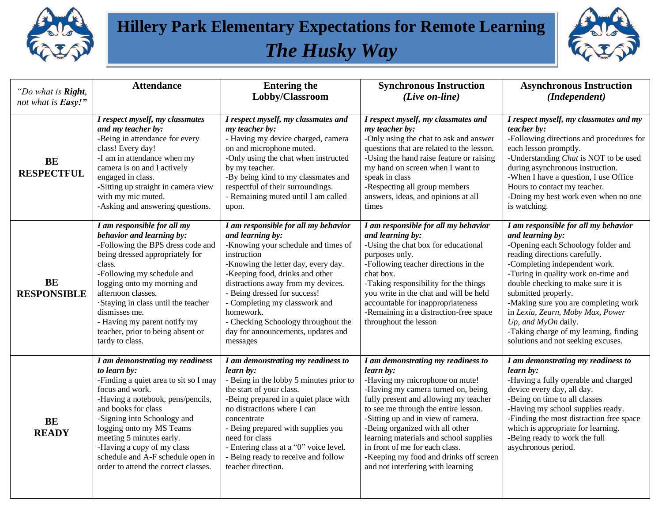

## **Hillery Park Elementary Expectations for Remote Learning**  *The Husky Way*



| "Do what is Right,<br>not what is Easy!" | <b>Attendance</b>                                                                                                                                                                                                                                                                                                                                                            | <b>Entering the</b><br>Lobby/Classroom                                                                                                                                                                                                                                                                                                                                                                | <b>Synchronous Instruction</b><br>(Live on-line)                                                                                                                                                                                                                                                                                                                                                                                             | <b>Asynchronous Instruction</b><br>(Independent)                                                                                                                                                                                                                                                                                                                                                                                                        |
|------------------------------------------|------------------------------------------------------------------------------------------------------------------------------------------------------------------------------------------------------------------------------------------------------------------------------------------------------------------------------------------------------------------------------|-------------------------------------------------------------------------------------------------------------------------------------------------------------------------------------------------------------------------------------------------------------------------------------------------------------------------------------------------------------------------------------------------------|----------------------------------------------------------------------------------------------------------------------------------------------------------------------------------------------------------------------------------------------------------------------------------------------------------------------------------------------------------------------------------------------------------------------------------------------|---------------------------------------------------------------------------------------------------------------------------------------------------------------------------------------------------------------------------------------------------------------------------------------------------------------------------------------------------------------------------------------------------------------------------------------------------------|
| <b>BE</b><br><b>RESPECTFUL</b>           | I respect myself, my classmates<br>and my teacher by:<br>-Being in attendance for every<br>class! Every day!<br>-I am in attendance when my<br>camera is on and I actively<br>engaged in class.<br>-Sitting up straight in camera view<br>with my mic muted.<br>-Asking and answering questions.                                                                             | I respect myself, my classmates and<br>my teacher by:<br>- Having my device charged, camera<br>on and microphone muted.<br>-Only using the chat when instructed<br>by my teacher.<br>-By being kind to my classmates and<br>respectful of their surroundings.<br>- Remaining muted until I am called<br>upon.                                                                                         | I respect myself, my classmates and<br>my teacher by:<br>-Only using the chat to ask and answer<br>questions that are related to the lesson.<br>-Using the hand raise feature or raising<br>my hand on screen when I want to<br>speak in class<br>-Respecting all group members<br>answers, ideas, and opinions at all<br>times                                                                                                              | $\overline{I}$ respect myself, my classmates and my<br>teacher by:<br>-Following directions and procedures for<br>each lesson promptly.<br>-Understanding Chat is NOT to be used<br>during asynchronous instruction.<br>-When I have a question, I use Office<br>Hours to contact my teacher.<br>-Doing my best work even when no one<br>is watching.                                                                                                   |
| <b>BE</b><br><b>RESPONSIBLE</b>          | I am responsible for all my<br>behavior and learning by:<br>-Following the BPS dress code and<br>being dressed appropriately for<br>class.<br>-Following my schedule and<br>logging onto my morning and<br>afternoon classes.<br>Staying in class until the teacher<br>dismisses me.<br>- Having my parent notify my<br>teacher, prior to being absent or<br>tardy to class. | I am responsible for all my behavior<br>and learning by:<br>-Knowing your schedule and times of<br>instruction<br>-Knowing the letter day, every day.<br>-Keeping food, drinks and other<br>distractions away from my devices.<br>- Being dressed for success!<br>- Completing my classwork and<br>homework.<br>- Checking Schoology throughout the<br>day for announcements, updates and<br>messages | I am responsible for all my behavior<br>and learning by:<br>-Using the chat box for educational<br>purposes only.<br>-Following teacher directions in the<br>chat box.<br>-Taking responsibility for the things<br>you write in the chat and will be held<br>accountable for inappropriateness<br>-Remaining in a distraction-free space<br>throughout the lesson                                                                            | I am responsible for all my behavior<br>and learning by:<br>-Opening each Schoology folder and<br>reading directions carefully.<br>-Completing independent work.<br>-Turing in quality work on-time and<br>double checking to make sure it is<br>submitted properly.<br>-Making sure you are completing work<br>in Lexia, Zearn, Moby Max, Power<br>Up, and MyOn daily.<br>-Taking charge of my learning, finding<br>solutions and not seeking excuses. |
| <b>BE</b><br><b>READY</b>                | I am demonstrating my readiness<br>to learn by:<br>-Finding a quiet area to sit so I may<br>focus and work.<br>-Having a notebook, pens/pencils,<br>and books for class<br>-Signing into Schoology and<br>logging onto my MS Teams<br>meeting 5 minutes early.<br>-Having a copy of my class<br>schedule and A-F schedule open in<br>order to attend the correct classes.    | I am demonstrating my readiness to<br>learn by:<br>- Being in the lobby 5 minutes prior to<br>the start of your class.<br>-Being prepared in a quiet place with<br>no distractions where I can<br>concentrate<br>- Being prepared with supplies you<br>need for class<br>- Entering class at a "0" voice level.<br>- Being ready to receive and follow<br>teacher direction.                          | I am demonstrating my readiness to<br>learn by:<br>-Having my microphone on mute!<br>-Having my camera turned on, being<br>fully present and allowing my teacher<br>to see me through the entire lesson.<br>-Sitting up and in view of camera.<br>-Being organized with all other<br>learning materials and school supplies<br>in front of me for each class.<br>-Keeping my food and drinks off screen<br>and not interfering with learning | I am demonstrating my readiness to<br>learn by:<br>-Having a fully operable and charged<br>device every day, all day.<br>-Being on time to all classes<br>-Having my school supplies ready.<br>-Finding the most distraction free space<br>which is appropriate for learning.<br>-Being ready to work the full<br>asychronous period.                                                                                                                   |